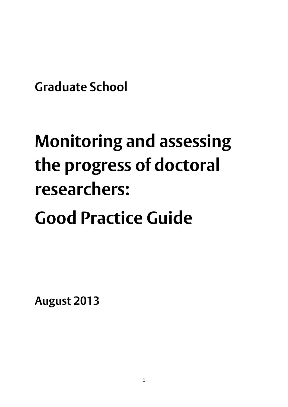**Graduate School**

# **Monitoring and assessing the progress of doctoral researchers: Good Practice Guide**

**August 2013**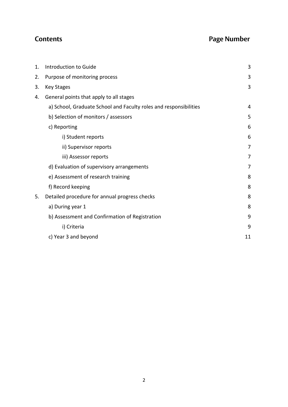# **Contents Page Number**

| 1. | Introduction to Guide                                             | 3              |
|----|-------------------------------------------------------------------|----------------|
| 2. | Purpose of monitoring process                                     | 3              |
| 3. | <b>Key Stages</b>                                                 | 3              |
| 4. | General points that apply to all stages                           |                |
|    | a) School, Graduate School and Faculty roles and responsibilities | 4              |
|    | b) Selection of monitors / assessors                              | 5              |
|    | c) Reporting                                                      | 6              |
|    | i) Student reports                                                | 6              |
|    | ii) Supervisor reports                                            | 7              |
|    | iii) Assessor reports                                             | $\overline{7}$ |
|    | d) Evaluation of supervisory arrangements                         | 7              |
|    | e) Assessment of research training                                | 8              |
|    | f) Record keeping                                                 | 8              |
| 5. | Detailed procedure for annual progress checks                     | 8              |
|    | a) During year 1                                                  | 8              |
|    | b) Assessment and Confirmation of Registration                    | 9              |
|    | i) Criteria                                                       | 9              |
|    | c) Year 3 and beyond                                              | 11             |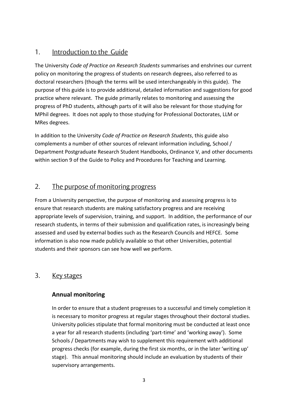### 1. Introduction to the Guide

The University *Code of Practice on Research Students* summarises and enshrines our current policy on monitoring the progress of students on research degrees, also referred to as doctoral researchers (though the terms will be used interchangeably in this guide). The purpose of this guide is to provide additional, detailed information and suggestions for good practice where relevant. The guide primarily relates to monitoring and assessing the progress of PhD students, although parts of it will also be relevant for those studying for MPhil degrees. It does not apply to those studying for Professional Doctorates, LLM or MRes degrees.

In addition to the University *Code of Practice on Research Students*, this guide also complements a number of other sources of relevant information including, School / Department Postgraduate Research Student Handbooks, Ordinance V, and other documents within section 9 of the Guide to Policy and Procedures for Teaching and Learning.

# 2. The purpose of monitoring progress

From a University perspective, the purpose of monitoring and assessing progress is to ensure that research students are making satisfactory progress and are receiving appropriate levels of supervision, training, and support. In addition, the performance of our research students, in terms of their submission and qualification rates, is increasingly being assessed and used by external bodies such as the Research Councils and HEFCE. Some information is also now made publicly available so that other Universities, potential students and their sponsors can see how well we perform.

#### 3. Key stages

#### **Annual monitoring**

In order to ensure that a student progresses to a successful and timely completion it is necessary to monitor progress at regular stages throughout their doctoral studies. University policies stipulate that formal monitoring must be conducted at least once a year for all research students (including 'part-time' and 'working away'). Some Schools / Departments may wish to supplement this requirement with additional progress checks (for example, during the first six months, or in the later 'writing up' stage). This annual monitoring should include an evaluation by students of their supervisory arrangements.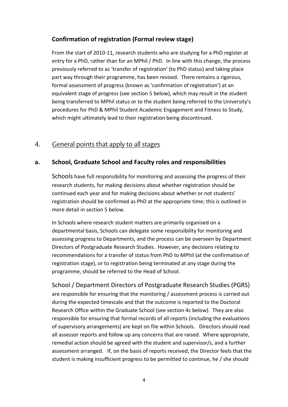#### **Confirmation of registration (Formal review stage)**

From the start of 2010-11, research students who are studying for a PhD register at entry for a PhD, rather than for an MPhil / PhD. In line with this change, the process previously referred to as 'transfer of registration' (to PhD status) and taking place part way through their programme, has been revised. There remains a rigorous, formal assessment of progress (known as 'confirmation of registration') at an equivalent stage of progress (see section 5 below), which may result in the student being transferred to MPhil status or to the student being referred to the University's procedures for PhD & MPhil Student Academic Engagement and Fitness to Study, which might ultimately lead to their registration being discontinued.

# 4. General points that apply to all stages

#### **a. School, Graduate School and Faculty roles and responsibilities**

Schools have full responsibility for monitoring and assessing the progress of their research students, for making decisions about whether registration should be continued each year and for making decisions about whether or not students' registration should be confirmed as PhD at the appropriate time; this is outlined in more detail in section 5 below.

In Schools where research student matters are primarily organised on a departmental basis, Schools can delegate some responsibility for monitoring and assessing progress to Departments, and the process can be overseen by Department Directors of Postgraduate Research Studies. However, any decisions relating to recommendations for a transfer of status from PhD to MPhil (at the confirmation of registration stage), or to registration being terminated at any stage during the programme, should be referred to the Head of School.

School / Department Directors of Postgraduate Research Studies (PGRS) are responsible for ensuring that the monitoring / assessment process is carried out during the expected timescale and that the outcome is reported to the Doctoral Research Office within the Graduate School (see section 4c below). They are also responsible for ensuring that formal records of all reports (including the evaluations of supervisory arrangements) are kept on file within Schools. Directors should read all assessor reports and follow up any concerns that are raised. Where appropriate, remedial action should be agreed with the student and supervisor/s, and a further assessment arranged. If, on the basis of reports received, the Director feels that the student is making insufficient progress to be permitted to continue, he / she should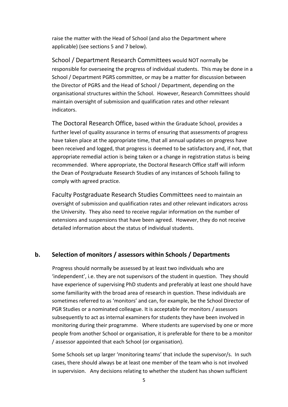raise the matter with the Head of School (and also the Department where applicable) (see sections 5 and 7 below).

School / Department Research Committees would NOT normally be responsible for overseeing the progress of individual students. This may be done in a School / Department PGRS committee, or may be a matter for discussion between the Director of PGRS and the Head of School / Department, depending on the organisational structures within the School. However, Research Committees should maintain oversight of submission and qualification rates and other relevant indicators.

The Doctoral Research Office, based within the Graduate School, provides a further level of quality assurance in terms of ensuring that assessments of progress have taken place at the appropriate time, that all annual updates on progress have been received and logged, that progress is deemed to be satisfactory and, if not, that appropriate remedial action is being taken or a change in registration status is being recommended. Where appropriate, the Doctoral Research Office staff will inform the Dean of Postgraduate Research Studies of any instances of Schools failing to comply with agreed practice.

Faculty Postgraduate Research Studies Committees need to maintain an oversight of submission and qualification rates and other relevant indicators across the University. They also need to receive regular information on the number of extensions and suspensions that have been agreed. However, they do not receive detailed information about the status of individual students.

#### **b. Selection of monitors / assessors within Schools / Departments**

Progress should normally be assessed by at least two individuals who are 'independent', i.e. they are not supervisors of the student in question. They should have experience of supervising PhD students and preferably at least one should have some familiarity with the broad area of research in question. These individuals are sometimes referred to as 'monitors' and can, for example, be the School Director of PGR Studies or a nominated colleague. It is acceptable for monitors / assessors subsequently to act as internal examiners for students they have been involved in monitoring during their programme. Where students are supervised by one or more people from another School or organisation, it is preferable for there to be a monitor / assessor appointed that each School (or organisation).

Some Schools set up larger 'monitoring teams' that include the supervisor/s. In such cases, there should always be at least one member of the team who is not involved in supervision. Any decisions relating to whether the student has shown sufficient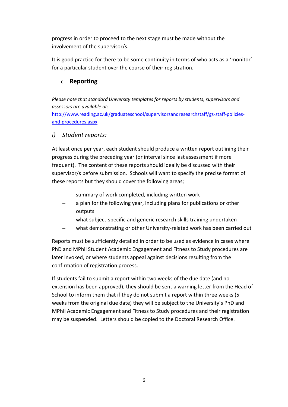progress in order to proceed to the next stage must be made without the involvement of the supervisor/s.

It is good practice for there to be some continuity in terms of who acts as a 'monitor' for a particular student over the course of their registration.

#### c. **Reporting**

*Please note that standard University templates for reports by students, supervisors and assessors are available at:* 

[http://www.reading.ac.uk/graduateschool/supervisorsandresearchstaff/gs-staff-policies](http://www.reading.ac.uk/graduateschool/supervisorsandresearchstaff/gs-staff-policies-and-procedures.aspx)[and-procedures.aspx](http://www.reading.ac.uk/graduateschool/supervisorsandresearchstaff/gs-staff-policies-and-procedures.aspx)

#### *i) Student reports:*

At least once per year, each student should produce a written report outlining their progress during the preceding year (or interval since last assessment if more frequent). The content of these reports should ideally be discussed with their supervisor/s before submission. Schools will want to specify the precise format of these reports but they should cover the following areas;

- summary of work completed, including written work
- a plan for the following year, including plans for publications or other outputs
- what subject-specific and generic research skills training undertaken
- what demonstrating or other University-related work has been carried out

Reports must be sufficiently detailed in order to be used as evidence in cases where PhD and MPhil Student Academic Engagement and Fitness to Study procedures are later invoked, or where students appeal against decisions resulting from the confirmation of registration process.

If students fail to submit a report within two weeks of the due date (and no extension has been approved), they should be sent a warning letter from the Head of School to inform them that if they do not submit a report within three weeks (5 weeks from the original due date) they will be subject to the University's PhD and MPhil Academic Engagement and Fitness to Study procedures and their registration may be suspended. Letters should be copied to the Doctoral Research Office.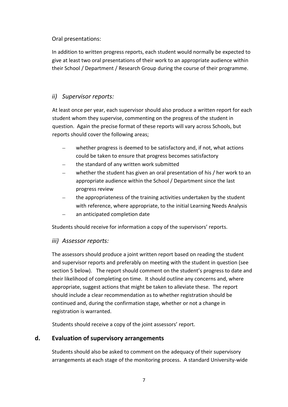#### Oral presentations:

In addition to written progress reports, each student would normally be expected to give at least two oral presentations of their work to an appropriate audience within their School / Department / Research Group during the course of their programme.

#### *ii) Supervisor reports:*

At least once per year, each supervisor should also produce a written report for each student whom they supervise, commenting on the progress of the student in question. Again the precise format of these reports will vary across Schools, but reports should cover the following areas;

- whether progress is deemed to be satisfactory and, if not, what actions could be taken to ensure that progress becomes satisfactory
- the standard of any written work submitted
- whether the student has given an oral presentation of his / her work to an appropriate audience within the School / Department since the last progress review
- the appropriateness of the training activities undertaken by the student with reference, where appropriate, to the initial Learning Needs Analysis
- an anticipated completion date

Students should receive for information a copy of the supervisors' reports.

#### *iii) Assessor reports:*

The assessors should produce a joint written report based on reading the student and supervisor reports and preferably on meeting with the student in question (see section 5 below). The report should comment on the student's progress to date and their likelihood of completing on time. It should outline any concerns and, where appropriate, suggest actions that might be taken to alleviate these. The report should include a clear recommendation as to whether registration should be continued and, during the confirmation stage, whether or not a change in registration is warranted.

Students should receive a copy of the joint assessors' report.

#### **d. Evaluation of supervisory arrangements**

Students should also be asked to comment on the adequacy of their supervisory arrangements at each stage of the monitoring process. A standard University-wide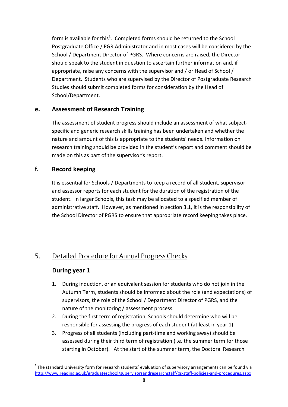form is available for this<sup>1</sup>. Completed forms should be returned to the School Postgraduate Office / PGR Administrator and in most cases will be considered by the School / Department Director of PGRS. Where concerns are raised, the Director should speak to the student in question to ascertain further information and, if appropriate, raise any concerns with the supervisor and / or Head of School / Department. Students who are supervised by the Director of Postgraduate Research Studies should submit completed forms for consideration by the Head of School/Department.

#### **e. Assessment of Research Training**

The assessment of student progress should include an assessment of what subjectspecific and generic research skills training has been undertaken and whether the nature and amount of this is appropriate to the students' needs. Information on research training should be provided in the student's report and comment should be made on this as part of the supervisor's report.

#### **f. Record keeping**

It is essential for Schools / Departments to keep a record of all student, supervisor and assessor reports for each student for the duration of the registration of the student. In larger Schools, this task may be allocated to a specified member of administrative staff. However, as mentioned in section 3.1, it is the responsibility of the School Director of PGRS to ensure that appropriate record keeping takes place.

# 5. Detailed Procedure for Annual Progress Checks

#### **During year 1**

1

- 1. During induction, or an equivalent session for students who do not join in the Autumn Term, students should be informed about the role (and expectations) of supervisors, the role of the School / Department Director of PGRS, and the nature of the monitoring / assessment process.
- 2. During the first term of registration, Schools should determine who will be responsible for assessing the progress of each student (at least in year 1).
- 3. Progress of all students (including part-time and working away) should be assessed during their third term of registration (i.e. the summer term for those starting in October). At the start of the summer term, the Doctoral Research

 $1$  The standard University form for research students' evaluation of supervisory arrangements can be found via <http://www.reading.ac.uk/graduateschool/supervisorsandresearchstaff/gs-staff-policies-and-procedures.aspx>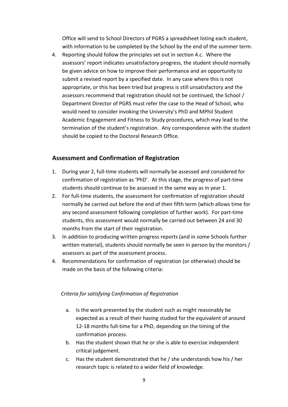Office will send to School Directors of PGRS a spreadsheet listing each student, with information to be completed by the School by the end of the summer term.

4. Reporting should follow the principles set out in section 4.c. Where the assessors' report indicates unsatisfactory progress, the student should normally be given advice on how to improve their performance and an opportunity to submit a revised report by a specified date. In any case where this is not appropriate, or this has been tried but progress is still unsatisfactory and the assessors recommend that registration should not be continued, the School / Department Director of PGRS must refer the case to the Head of School, who would need to consider invoking the University's PhD and MPhil Student Academic Engagement and Fitness to Study procedures, which may lead to the termination of the student's registration. Any correspondence with the student should be copied to the Doctoral Research Office.

#### **Assessment and Confirmation of Registration**

- 1. During year 2, full-time students will normally be assessed and considered for confirmation of registration as 'PhD'. At this stage, the progress of part-time students should continue to be assessed in the same way as in year 1.
- 2. For full-time students, the assessment for confirmation of registration should normally be carried out before the end of their fifth term (which allows time for any second assessment following completion of further work). For part-time students, this assessment would normally be carried out between 24 and 30 months from the start of their registration.
- 3. In addition to producing written progress reports (and in some Schools further written material), students should normally be seen in person by the monitors / assessors as part of the assessment process.
- 4. Recommendations for confirmation of registration (or otherwise) should be made on the basis of the following criteria:

#### *Criteria for satisfying Confirmation of Registration*

- a. Is the work presented by the student such as might reasonably be expected as a result of their having studied for the equivalent of around 12-18 months full-time for a PhD, depending on the timing of the confirmation process.
- b. Has the student shown that he or she is able to exercise independent critical judgement.
- c. Has the student demonstrated that he / she understands how his / her research topic is related to a wider field of knowledge.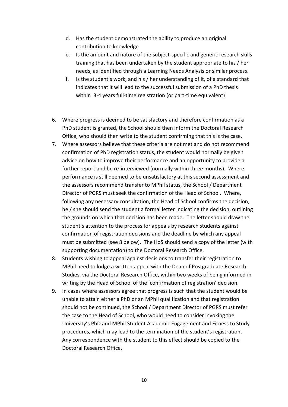- d. Has the student demonstrated the ability to produce an original contribution to knowledge
- e. Is the amount and nature of the subject-specific and generic research skills training that has been undertaken by the student appropriate to his / her needs, as identified through a Learning Needs Analysis or similar process.
- f. Is the student's work, and his / her understanding of it, of a standard that indicates that it will lead to the successful submission of a PhD thesis within 3-4 years full-time registration (or part-time equivalent)
- 6. Where progress is deemed to be satisfactory and therefore confirmation as a PhD student is granted, the School should then inform the Doctoral Research Office, who should then write to the student confirming that this is the case.
- 7. Where assessors believe that these criteria are not met and do not recommend confirmation of PhD registration status, the student would normally be given advice on how to improve their performance and an opportunity to provide a further report and be re-interviewed (normally within three months). Where performance is still deemed to be unsatisfactory at this second assessment and the assessors recommend transfer to MPhil status, the School / Department Director of PGRS must seek the confirmation of the Head of School. Where, following any necessary consultation, the Head of School confirms the decision, he / she should send the student a formal letter indicating the decision, outlining the grounds on which that decision has been made. The letter should draw the student's attention to the process for appeals by research students against confirmation of registration decisions and the deadline by which any appeal must be submitted (see 8 below). The HoS should send a copy of the letter (with supporting documentation) to the Doctoral Research Office.
- 8. Students wishing to appeal against decisions to transfer their registration to MPhil need to lodge a written appeal with the Dean of Postgraduate Research Studies, via the Doctoral Research Office, within two weeks of being informed in writing by the Head of School of the 'confirmation of registration' decision.
- 9. In cases where assessors agree that progress is such that the student would be unable to attain either a PhD or an MPhil qualification and that registration should not be continued, the School / Department Director of PGRS must refer the case to the Head of School, who would need to consider invoking the University's PhD and MPhil Student Academic Engagement and Fitness to Study procedures, which may lead to the termination of the student's registration. Any correspondence with the student to this effect should be copied to the Doctoral Research Office.